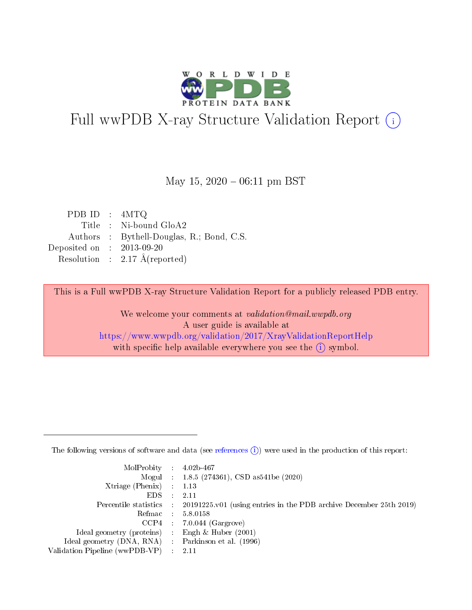

# Full wwPDB X-ray Structure Validation Report (i)

May 15,  $2020 - 06:11$  pm BST

| PDB ID : $4MTQ$             |                                           |
|-----------------------------|-------------------------------------------|
|                             | Title : Ni-bound GloA2                    |
|                             | Authors : Bythell-Douglas, R.; Bond, C.S. |
| Deposited on : $2013-09-20$ |                                           |
|                             | Resolution : $2.17 \text{ Å}$ (reported)  |
|                             |                                           |

This is a Full wwPDB X-ray Structure Validation Report for a publicly released PDB entry.

We welcome your comments at validation@mail.wwpdb.org A user guide is available at <https://www.wwpdb.org/validation/2017/XrayValidationReportHelp> with specific help available everywhere you see the  $(i)$  symbol.

The following versions of software and data (see [references](https://www.wwpdb.org/validation/2017/XrayValidationReportHelp#references)  $(1)$ ) were used in the production of this report:

| $MolProbability$ : 4.02b-467                        |                                                                                              |
|-----------------------------------------------------|----------------------------------------------------------------------------------------------|
|                                                     | Mogul : 1.8.5 (274361), CSD as 541 be (2020)                                                 |
| Xtriage (Phenix) $: 1.13$                           |                                                                                              |
| $EDS$ :                                             | -2.11                                                                                        |
|                                                     | Percentile statistics : $20191225.v01$ (using entries in the PDB archive December 25th 2019) |
| Refmac : 5.8.0158                                   |                                                                                              |
|                                                     | $CCP4$ : 7.0.044 (Gargrove)                                                                  |
| Ideal geometry (proteins) :                         | Engh $\&$ Huber (2001)                                                                       |
| Ideal geometry (DNA, RNA) : Parkinson et al. (1996) |                                                                                              |
| Validation Pipeline (wwPDB-VP) : 2.11               |                                                                                              |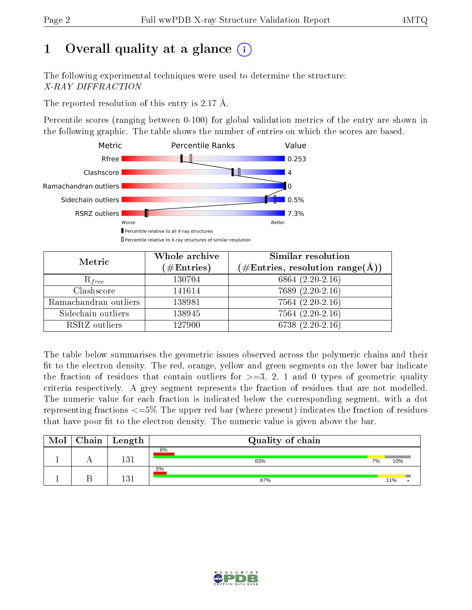## 1 [O](https://www.wwpdb.org/validation/2017/XrayValidationReportHelp#overall_quality)verall quality at a glance  $(i)$

The following experimental techniques were used to determine the structure: X-RAY DIFFRACTION

The reported resolution of this entry is 2.17 Å.

Percentile scores (ranging between 0-100) for global validation metrics of the entry are shown in the following graphic. The table shows the number of entries on which the scores are based.



| Metric                | Whole archive<br>$(\#\text{Entries})$ | Similar resolution<br>$(\#\text{Entries}, \text{resolution range}(\text{\AA}))$ |  |
|-----------------------|---------------------------------------|---------------------------------------------------------------------------------|--|
| $R_{free}$            | 130704                                | 6864 $(2.20-2.16)$                                                              |  |
| Clashscore            | 141614                                | $7689(2.20-2.16)$                                                               |  |
| Ramachandran outliers | 138981                                | $7564(2.20-2.16)$                                                               |  |
| Sidechain outliers    | 138945                                | $7564(2.20-2.16)$                                                               |  |
| RSRZ outliers         | 127900                                | $6738(2.20-2.16)$                                                               |  |

The table below summarises the geometric issues observed across the polymeric chains and their fit to the electron density. The red, orange, yellow and green segments on the lower bar indicate the fraction of residues that contain outliers for  $>=3, 2, 1$  and 0 types of geometric quality criteria respectively. A grey segment represents the fraction of residues that are not modelled. The numeric value for each fraction is indicated below the corresponding segment, with a dot representing fractions  $\epsilon=5\%$  The upper red bar (where present) indicates the fraction of residues that have poor fit to the electron density. The numeric value is given above the bar.

| Mol | ${\rm Chain \mid Length}$ | Quality of chain |    |        |
|-----|---------------------------|------------------|----|--------|
|     | 131                       | 8%<br>83%        | 7% | 10%    |
|     | 131                       | 5%<br>87%        |    | $11\%$ |

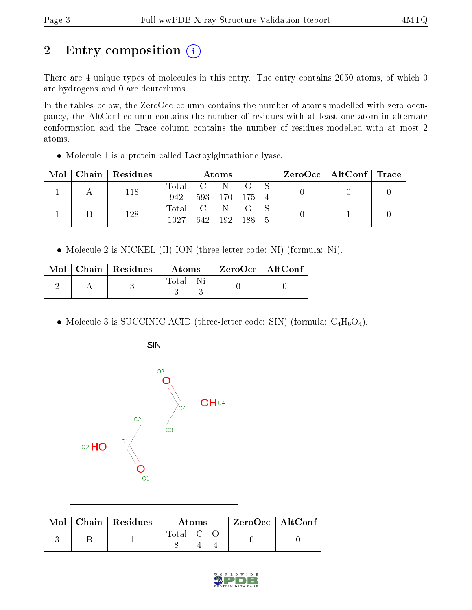## 2 Entry composition (i)

There are 4 unique types of molecules in this entry. The entry contains 2050 atoms, of which 0 are hydrogens and 0 are deuteriums.

In the tables below, the ZeroOcc column contains the number of atoms modelled with zero occupancy, the AltConf column contains the number of residues with at least one atom in alternate conformation and the Trace column contains the number of residues modelled with at most 2 atoms.

Molecule 1 is a protein called Lactoylglutathione lyase.

| Mol | Chain Residues | Atoms       |  |               |  | $\text{ZeroOcc}$   AltConf   Trace |  |  |
|-----|----------------|-------------|--|---------------|--|------------------------------------|--|--|
|     | 118            | Total C N   |  |               |  |                                    |  |  |
|     |                | 942         |  | 593 170 175 4 |  |                                    |  |  |
|     | 128            | Total C N O |  |               |  |                                    |  |  |
|     |                | 1027        |  | 642 192 188 5 |  |                                    |  |  |

• Molecule 2 is NICKEL (II) ION (three-letter code: NI) (formula: Ni).

|  | $\text{Mol}$   Chain   Residues | $\boldsymbol{\mathrm{Atoms}}$ | $\mid$ ZeroOcc $\mid$ AltConf $\mid$ |  |
|--|---------------------------------|-------------------------------|--------------------------------------|--|
|  |                                 | Total Ni                      |                                      |  |

• Molecule 3 is SUCCINIC ACID (three-letter code: SIN) (formula:  $C_4H_6O_4$ ).



|  | $\boxed{\text{Mol}$ Chain   Residues | Atoms   |  | $\rm ZeroOcc$   Alt $\rm Conf$ |  |
|--|--------------------------------------|---------|--|--------------------------------|--|
|  |                                      | Total C |  |                                |  |

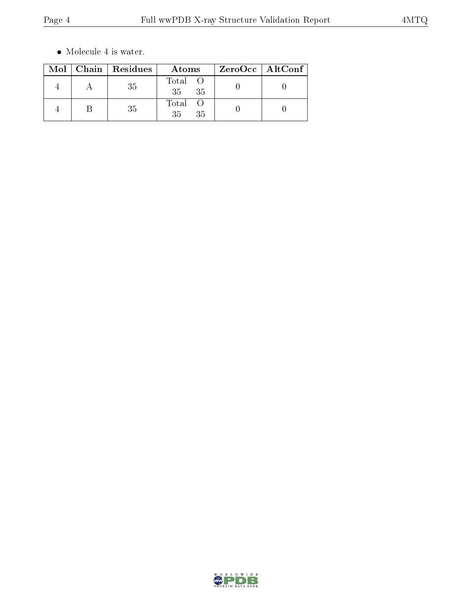$\bullet\,$  Molecule 4 is water.

|  | $Mol$   Chain   Residues | Atoms             | ZeroOcc   AltConf |  |
|--|--------------------------|-------------------|-------------------|--|
|  | 35                       | Total<br>35<br>35 |                   |  |
|  | 35                       | Total<br>35<br>35 |                   |  |

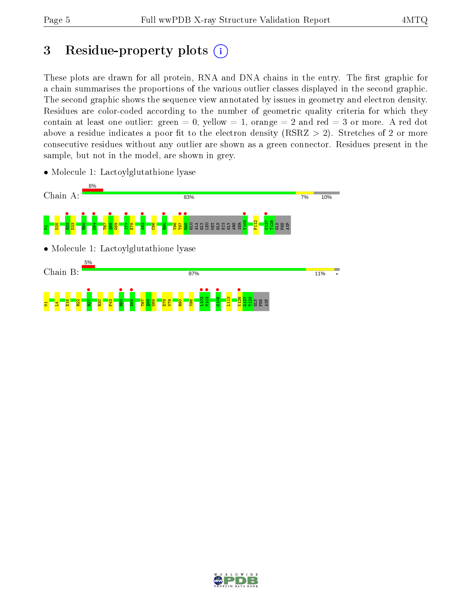### 3 Residue-property plots  $(i)$

These plots are drawn for all protein, RNA and DNA chains in the entry. The first graphic for a chain summarises the proportions of the various outlier classes displayed in the second graphic. The second graphic shows the sequence view annotated by issues in geometry and electron density. Residues are color-coded according to the number of geometric quality criteria for which they contain at least one outlier: green  $= 0$ , yellow  $= 1$ , orange  $= 2$  and red  $= 3$  or more. A red dot above a residue indicates a poor fit to the electron density (RSRZ  $> 2$ ). Stretches of 2 or more consecutive residues without any outlier are shown as a green connector. Residues present in the sample, but not in the model, are shown in grey.



• Molecule 1: Lactoylglutathione lyase

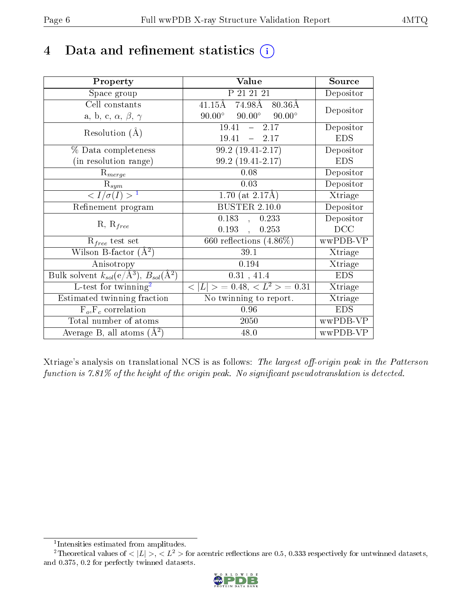### 4 Data and refinement statistics  $(i)$

| Property                                                             | Value                                                        | Source                       |
|----------------------------------------------------------------------|--------------------------------------------------------------|------------------------------|
| Space group                                                          | P 21 21 21                                                   | Depositor                    |
| Cell constants                                                       | $74.98\text{\AA}$<br>$41.15 \text{\AA}$<br>$80.36\text{\AA}$ | Depositor                    |
| a, b, c, $\alpha$ , $\beta$ , $\gamma$                               | $90.00^\circ$<br>$90.00^{\circ}$<br>$90.00^\circ$            |                              |
| Resolution $(A)$                                                     | 2.17<br>19.41<br>$\frac{1}{2}$                               | Depositor                    |
|                                                                      | 19.41<br>$-2.17$                                             | <b>EDS</b>                   |
| % Data completeness                                                  | $99.2(19.41-2.17)$                                           | Depositor                    |
| (in resolution range)                                                | 99.2 (19.41-2.17)                                            | <b>EDS</b>                   |
| $R_{merge}$                                                          | 0.08                                                         | Depositor                    |
| $R_{sym}$                                                            | 0.03                                                         | Depositor                    |
| $\langle I/\sigma(I) \rangle^{-1}$                                   | 1.70 (at $2.17\text{\AA}$ )                                  | Xtriage                      |
| Refinement program                                                   | BUSTER $2.\overline{10.0}$                                   | Depositor                    |
|                                                                      | 0.183<br>0.233<br>$\langle \cdot, \cdot \rangle$             | Depositor                    |
| $R, R_{free}$                                                        | 0.193,<br>0.253                                              | DCC                          |
| $R_{free}$ test set                                                  | 660 reflections $(4.86\%)$                                   | wwPDB-VP                     |
| Wilson B-factor $(A^2)$                                              | 39.1                                                         | Xtriage                      |
| Anisotropy                                                           | 0.194                                                        | Xtriage                      |
| Bulk solvent $k_{sol}(e/\mathring{A}^3)$ , $B_{sol}(\mathring{A}^2)$ | 0.31, 41.4                                                   | <b>EDS</b>                   |
| L-test for twinning <sup>2</sup>                                     | $< L >$ = 0.48, $< L2$ = 0.31                                | Xtriage                      |
| Estimated twinning fraction                                          | No twinning to report.                                       | $\overline{\text{X}}$ triage |
| $F_o, F_c$ correlation                                               | 0.96                                                         | <b>EDS</b>                   |
| Total number of atoms                                                | 2050                                                         | wwPDB-VP                     |
| Average B, all atoms $(A^2)$                                         | 48.0                                                         | wwPDB-VP                     |

Xtriage's analysis on translational NCS is as follows: The largest off-origin peak in the Patterson function is  $7.81\%$  of the height of the origin peak. No significant pseudotranslation is detected.

<sup>&</sup>lt;sup>2</sup>Theoretical values of  $\langle |L| \rangle$ ,  $\langle L^2 \rangle$  for acentric reflections are 0.5, 0.333 respectively for untwinned datasets, and 0.375, 0.2 for perfectly twinned datasets.



<span id="page-5-1"></span><span id="page-5-0"></span><sup>1</sup> Intensities estimated from amplitudes.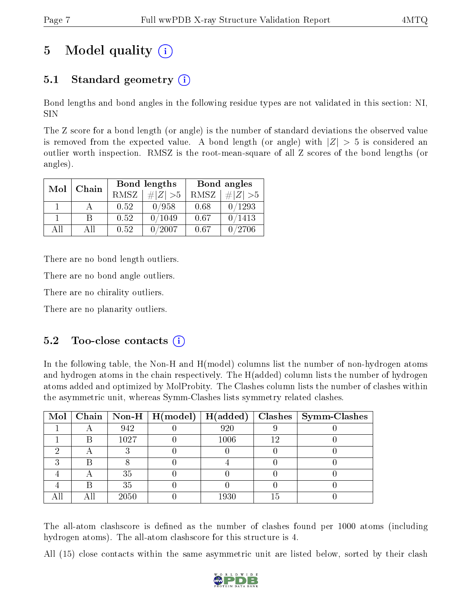## 5 Model quality  $(i)$

### 5.1 Standard geometry (i)

Bond lengths and bond angles in the following residue types are not validated in this section: NI, SIN

The Z score for a bond length (or angle) is the number of standard deviations the observed value is removed from the expected value. A bond length (or angle) with  $|Z| > 5$  is considered an outlier worth inspection. RMSZ is the root-mean-square of all Z scores of the bond lengths (or angles).

|              |     |             | Bond lengths    | Bond angles |           |  |
|--------------|-----|-------------|-----------------|-------------|-----------|--|
| Mol<br>Chain |     | <b>RMSZ</b> | $\# Z  > 5$     | RMSZ        | # $ Z >5$ |  |
|              |     | 0.52        | 0/958           | 0.68        | 0/1293    |  |
|              | R   | 0.52        | 0/1049          | 0.67        | 0/1413    |  |
| AH           | Αll | 0.52        | $^{\prime}2007$ | 0.67        | 0/2706    |  |

There are no bond length outliers.

There are no bond angle outliers.

There are no chirality outliers.

There are no planarity outliers.

#### $5.2$  Too-close contacts  $(i)$

In the following table, the Non-H and H(model) columns list the number of non-hydrogen atoms and hydrogen atoms in the chain respectively. The H(added) column lists the number of hydrogen atoms added and optimized by MolProbity. The Clashes column lists the number of clashes within the asymmetric unit, whereas Symm-Clashes lists symmetry related clashes.

|   |   |      |      |    | Mol   Chain   Non-H   H(model)   H(added)   Clashes   Symm-Clashes |
|---|---|------|------|----|--------------------------------------------------------------------|
|   |   | 942  | 920  |    |                                                                    |
|   | B | 1027 | 1006 |    |                                                                    |
|   |   |      |      |    |                                                                    |
| ົ |   |      |      |    |                                                                    |
|   |   | 35   |      |    |                                                                    |
|   |   | 35   |      |    |                                                                    |
|   |   | 2050 | 1930 | 15 |                                                                    |

The all-atom clashscore is defined as the number of clashes found per 1000 atoms (including hydrogen atoms). The all-atom clashscore for this structure is 4.

All (15) close contacts within the same asymmetric unit are listed below, sorted by their clash

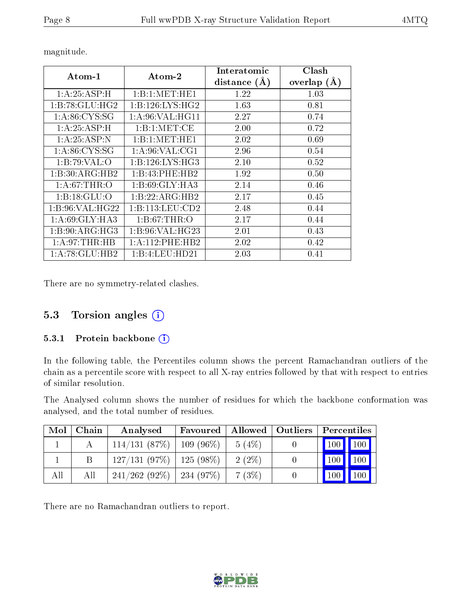| $\rm{Atom\text{-}1}$        | $\bold{Atom\text{-}2}$ | Interatomic<br>distance $(A)$ | Clash<br>overlap $(A)$ |
|-----------------------------|------------------------|-------------------------------|------------------------|
| 1: A:25:ASP:H               | 1:B:1:MET:HE1          | 1.22                          | 1.03                   |
| 1:B:78:GLU:HG2              | 1: B: 126: LYS: HG2    | 1.63                          | 0.81                   |
| 1: A:86: CYS:SG             | 1: A:96: VAL:HGI1      | 2.27                          | 0.74                   |
| 1: A:25:ASP:H               | 1:B:1:MET:CE           | 2.00                          | 0.72                   |
| 1:A:25:ASP:N                | 1:B:1:MET:HE1          | 2.02                          | 0.69                   |
| 1: A:86: CYS:SG             | 1: A:96: VAL:CG1       | 2.96                          | 0.54                   |
| 1:B:79:VAL:O                | 1: B: 126: LYS: HG3    | 2.10                          | 0.52                   |
| $1:B:30:A\overline{RG:HB2}$ | 1:B:43:PHE:HB2         | 1.92                          | 0.50                   |
| 1: A:67:THR:O               | 1: B:69: GLY:HA3       | 2.14                          | 0.46                   |
| 1: B: 18: GLU: O            | 1:B:22:ARG:HB2         | 2.17                          | 0.45                   |
| 1:B:96:VAL:HG22             | 1: B: 113: LEU: CD2    | 2.48                          | 0.44                   |
| 1: A:69: GLY:HA3            | 1: B:67:THR:O          | 2.17                          | 0.44                   |
| $1:B:90:ARG:\overline{HG3}$ | 1:B:96:VAL:HG23        | 2.01                          | 0.43                   |
| 1: A:97:THR:HB              | 1: A: 112: PHE: HB2    | 2.02                          | 0.42                   |
| 1: A:78: GLU:HB2            | 1:B:4:LEU:HD21         | 2.03                          | $\rm 0.41$             |

magnitude.

There are no symmetry-related clashes.

#### 5.3 Torsion angles (i)

#### 5.3.1 Protein backbone (i)

In the following table, the Percentiles column shows the percent Ramachandran outliers of the chain as a percentile score with respect to all X-ray entries followed by that with respect to entries of similar resolution.

The Analysed column shows the number of residues for which the backbone conformation was analysed, and the total number of residues.

| Mol | Chain | Analysed                      | Favoured    |          | Allowed   Outliers   Percentiles |
|-----|-------|-------------------------------|-------------|----------|----------------------------------|
|     |       | 114/131(87%)                  | $109(96\%)$ | 5(4%)    | $100$   $100$                    |
|     |       | $127/131$ (97\%)   125 (98\%) |             | $2(2\%)$ | $100 \mid$                       |
| All | All   | $241/262$ (92\%)   234 (97\%) |             | 7(3%)    | 100<br>100                       |

There are no Ramachandran outliers to report.

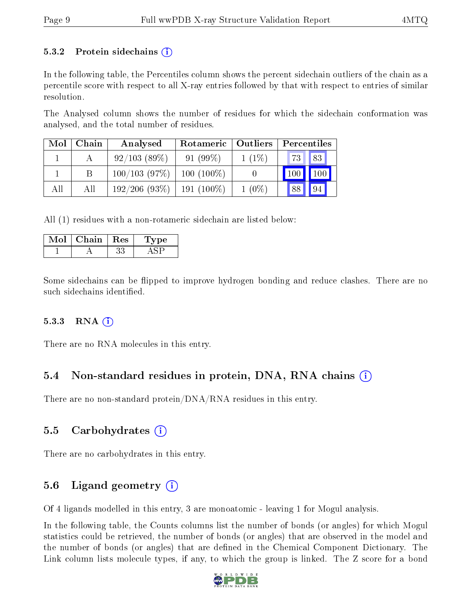#### 5.3.2 Protein sidechains  $(i)$

In the following table, the Percentiles column shows the percent sidechain outliers of the chain as a percentile score with respect to all X-ray entries followed by that with respect to entries of similar resolution.

The Analysed column shows the number of residues for which the sidechain conformation was analysed, and the total number of residues.

| Mol | Chain | Analysed     | Rotameric   Outliers |          | Percentiles |             |  |
|-----|-------|--------------|----------------------|----------|-------------|-------------|--|
|     |       | 92/103(89%)  | $91(99\%)$           | $1(1\%)$ | 73   83     |             |  |
|     |       | 100/103(97%) | $100(100\%)$         |          | 100         | $\vert$ 100 |  |
| All | All   | 192/206(93%) | $191(100\%)$         | $1(0\%)$ | 88          | 94          |  |

All (1) residues with a non-rotameric sidechain are listed below:

| Chain | $\rm Res$ | vpe |
|-------|-----------|-----|
|       |           |     |

Some sidechains can be flipped to improve hydrogen bonding and reduce clashes. There are no such sidechains identified.

#### $5.3.3$  RNA  $(i)$

There are no RNA molecules in this entry.

#### 5.4 Non-standard residues in protein, DNA, RNA chains (i)

There are no non-standard protein/DNA/RNA residues in this entry.

#### 5.5 Carbohydrates (i)

There are no carbohydrates in this entry.

#### 5.6 Ligand geometry  $(i)$

Of 4 ligands modelled in this entry, 3 are monoatomic - leaving 1 for Mogul analysis.

In the following table, the Counts columns list the number of bonds (or angles) for which Mogul statistics could be retrieved, the number of bonds (or angles) that are observed in the model and the number of bonds (or angles) that are defined in the Chemical Component Dictionary. The Link column lists molecule types, if any, to which the group is linked. The Z score for a bond

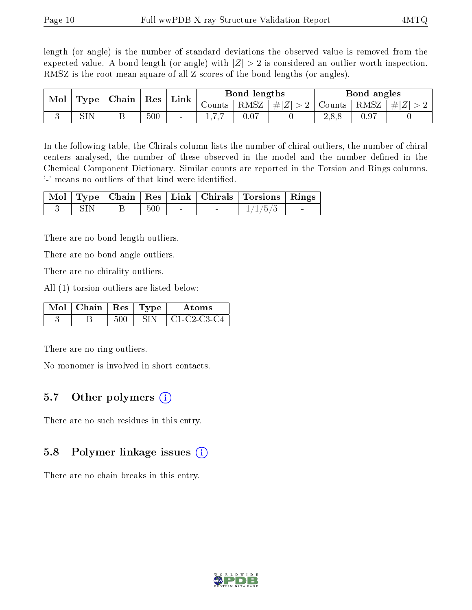length (or angle) is the number of standard deviations the observed value is removed from the expected value. A bond length (or angle) with  $|Z| > 2$  is considered an outlier worth inspection. RMSZ is the root-mean-square of all Z scores of the bond lengths (or angles).

| Mol | Type | Chain | ${\rm Res}$ | Link                     | Bond lengths |      |                         | Bond angles |      |         |
|-----|------|-------|-------------|--------------------------|--------------|------|-------------------------|-------------|------|---------|
|     |      |       |             |                          | Counts       | RMSZ | $\# Z $<br>$>$ $\angle$ | Counts      | RMSZ | $\ E\ $ |
|     | OTT. |       | 500         | $\overline{\phantom{a}}$ |              |      |                         | 2,8,8       |      |         |

In the following table, the Chirals column lists the number of chiral outliers, the number of chiral centers analysed, the number of these observed in the model and the number defined in the Chemical Component Dictionary. Similar counts are reported in the Torsion and Rings columns. '-' means no outliers of that kind were identified.

|       |        |  | Mol   Type   Chain   Res   Link   Chirals   Torsions   Rings |  |
|-------|--------|--|--------------------------------------------------------------|--|
| – SIN | -500 - |  | 1/1/5/5                                                      |  |

There are no bond length outliers.

There are no bond angle outliers.

There are no chirality outliers.

All (1) torsion outliers are listed below:

| $\text{Mol}$   Chain   Res   Type |  | Atoms         |
|-----------------------------------|--|---------------|
|                                   |  | ' C1-C2-C3-C4 |

There are no ring outliers.

No monomer is involved in short contacts.

#### 5.7 [O](https://www.wwpdb.org/validation/2017/XrayValidationReportHelp#nonstandard_residues_and_ligands)ther polymers  $(i)$

There are no such residues in this entry.

#### 5.8 Polymer linkage issues  $(i)$

There are no chain breaks in this entry.

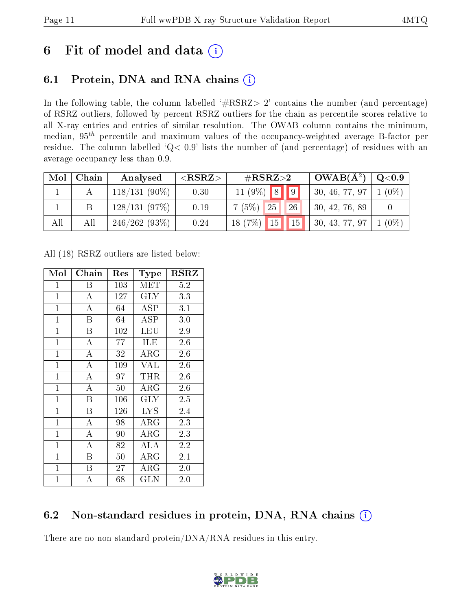### 6 Fit of model and data  $(i)$

### 6.1 Protein, DNA and RNA chains  $(i)$

In the following table, the column labelled  $#RSRZ> 2'$  contains the number (and percentage) of RSRZ outliers, followed by percent RSRZ outliers for the chain as percentile scores relative to all X-ray entries and entries of similar resolution. The OWAB column contains the minimum, median,  $95<sup>th</sup>$  percentile and maximum values of the occupancy-weighted average B-factor per residue. The column labelled ' $Q< 0.9$ ' lists the number of (and percentage) of residues with an average occupancy less than 0.9.

| Mol | Chain | Analysed        | ${ <\hspace{-1.5pt}{\mathrm{RSRZ}} \hspace{-1.5pt}>}$ | # $RSRZ>2$                          | $OWAB(A^2)$    | $Q<$ 0.9 |
|-----|-------|-----------------|-------------------------------------------------------|-------------------------------------|----------------|----------|
|     |       | $118/131(90\%)$ | 0.30                                                  | $11 (9\%) 8 9$                      | 30, 46, 77, 97 | $(0\%)$  |
|     |       | 128/131(97%)    | 0.19                                                  | 26<br>$7(5%)$ 25                    | 30, 42, 76, 89 |          |
| All | All   | 246/262(93%)    | 0.24                                                  | $18(7\%)$ $\boxed{15}$ $\boxed{15}$ | 30, 43, 77, 97 | $(0\%)$  |

All (18) RSRZ outliers are listed below:

| Mol            | ${\rm Chain}$ | $\operatorname{Res}% \left( \mathcal{N}\right) \equiv\operatorname{Res}(\mathcal{N}_{0},\mathcal{N}_{0})$ | Type         | $_{\rm RSRZ}$ |
|----------------|---------------|-----------------------------------------------------------------------------------------------------------|--------------|---------------|
| $\mathbf{1}$   | Β             | 103                                                                                                       | MET          | 5.2           |
| $\overline{1}$ | A             | 127                                                                                                       | <b>GLY</b>   | 3.3           |
| $\mathbf{1}$   | А             | 64                                                                                                        | $_{\rm ASP}$ | 3.1           |
| $\mathbf{1}$   | B             | 64                                                                                                        | ASP          | 3.0           |
| $\mathbf{1}$   | B             | 102                                                                                                       | <b>LEU</b>   | 2.9           |
| $\mathbf 1$    | А             | 77                                                                                                        | ILE          | 2.6           |
| $\mathbf{1}$   | A             | 32                                                                                                        | $\rm{ARG}$   | 2.6           |
| $\overline{1}$ | A             | 109                                                                                                       | VAL          | 2.6           |
| $\mathbf{1}$   | A             | 97                                                                                                        | THR          | 2.6           |
| $\mathbf{1}$   | $\bf{A}$      | 50                                                                                                        | $\rm{ARG}$   | 2.6           |
| $\mathbf{1}$   | B             | 106                                                                                                       | GLY          | 2.5           |
| $\mathbf{1}$   | B             | 126                                                                                                       | <b>LYS</b>   | 2.4           |
| $\mathbf{1}$   | А             | 98                                                                                                        | $\rm{ARG}$   | 2.3           |
| $\mathbf{1}$   | A             | 90                                                                                                        | ${\rm ARG}$  | 2.3           |
| $\mathbf{1}$   | A             | 82                                                                                                        | ALA          | 2.2           |
| $\mathbf{1}$   | B             | 50                                                                                                        | ${\rm ARG}$  | 2.1           |
| $\mathbf{1}$   | Β             | 27                                                                                                        | $\rm{ARG}$   | 2.0           |
| $\mathbf 1$    | А             | 68                                                                                                        | $_{\rm GLN}$ | 2.0           |

#### 6.2 Non-standard residues in protein, DNA, RNA chains (i)

There are no non-standard protein/DNA/RNA residues in this entry.